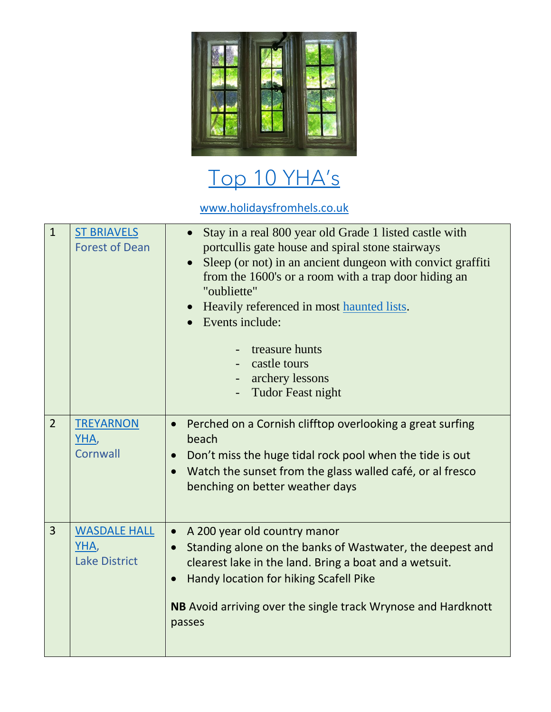

## [Top 10 YHA](https://www.holidaysfromhels.co.uk/2019/12/11/top-10-best-beaches-in-uk/)'s

[www.holidaysfromhels.co.uk](http://www.holidaysfromhels.co.uk/)

| $\mathbf{1}$   | <b>ST BRIAVELS</b><br><b>Forest of Dean</b>         | Stay in a real 800 year old Grade 1 listed castle with<br>$\bullet$<br>portcullis gate house and spiral stone stairways<br>Sleep (or not) in an ancient dungeon with convict graffiti<br>from the 1600's or a room with a trap door hiding an<br>"oubliette"<br>• Heavily referenced in most haunted lists.<br>Events include:<br>treasure hunts<br>castle tours<br>archery lessons<br><b>Tudor Feast night</b> |
|----------------|-----------------------------------------------------|-----------------------------------------------------------------------------------------------------------------------------------------------------------------------------------------------------------------------------------------------------------------------------------------------------------------------------------------------------------------------------------------------------------------|
| $\overline{2}$ | <b>TREYARNON</b><br>YHA,<br>Cornwall                | Perched on a Cornish clifftop overlooking a great surfing<br>$\bullet$<br>beach<br>Don't miss the huge tidal rock pool when the tide is out<br>$\bullet$<br>Watch the sunset from the glass walled café, or al fresco<br>benching on better weather days                                                                                                                                                        |
| 3              | <b>WASDALE HALL</b><br>YHA,<br><b>Lake District</b> | A 200 year old country manor<br>$\bullet$<br>Standing alone on the banks of Wastwater, the deepest and<br>$\bullet$<br>clearest lake in the land. Bring a boat and a wetsuit.<br>Handy location for hiking Scafell Pike<br><b>NB</b> Avoid arriving over the single track Wrynose and Hardknott<br>passes                                                                                                       |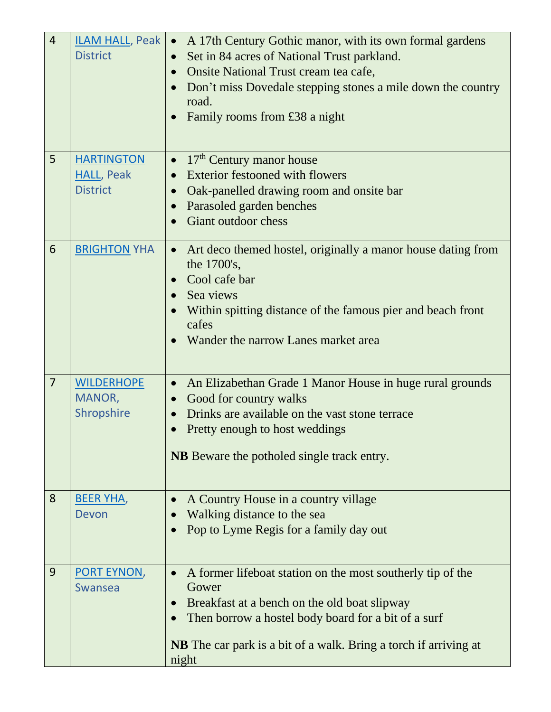| $\overline{4}$ | ILAM HALL, Peak .<br><b>District</b>                      | A 17th Century Gothic manor, with its own formal gardens<br>Set in 84 acres of National Trust parkland.<br>Onsite National Trust cream tea cafe,<br>Don't miss Dovedale stepping stones a mile down the country<br>road.<br>Family rooms from £38 a night<br>$\bullet$ |
|----------------|-----------------------------------------------------------|------------------------------------------------------------------------------------------------------------------------------------------------------------------------------------------------------------------------------------------------------------------------|
| 5              | <b>HARTINGTON</b><br><b>HALL, Peak</b><br><b>District</b> | 17 <sup>th</sup> Century manor house<br>$\bullet$<br><b>Exterior festooned with flowers</b><br>Oak-panelled drawing room and onsite bar<br>Parasoled garden benches<br>$\bullet$<br>Giant outdoor chess                                                                |
| 6              | <b>BRIGHTON YHA</b>                                       | Art deco themed hostel, originally a manor house dating from<br>$\bullet$<br>the 1700's,<br>Cool cafe bar<br>Sea views<br>Within spitting distance of the famous pier and beach front<br>cafes<br>Wander the narrow Lanes market area                                  |
| $\overline{7}$ | <b>WILDERHOPE</b><br>MANOR,<br>Shropshire                 | An Elizabethan Grade 1 Manor House in huge rural grounds<br>$\bullet$<br>Good for country walks<br>Drinks are available on the vast stone terrace<br>Pretty enough to host weddings<br><b>NB</b> Beware the potholed single track entry.                               |
| 8              | <b>BEER YHA,</b><br>Devon                                 | A Country House in a country village<br>Walking distance to the sea<br>Pop to Lyme Regis for a family day out                                                                                                                                                          |
| 9              | PORT EYNON,<br>Swansea                                    | A former lifeboat station on the most southerly tip of the<br>Gower<br>Breakfast at a bench on the old boat slipway<br>Then borrow a hostel body board for a bit of a surf<br><b>NB</b> The car park is a bit of a walk. Bring a torch if arriving at<br>night         |